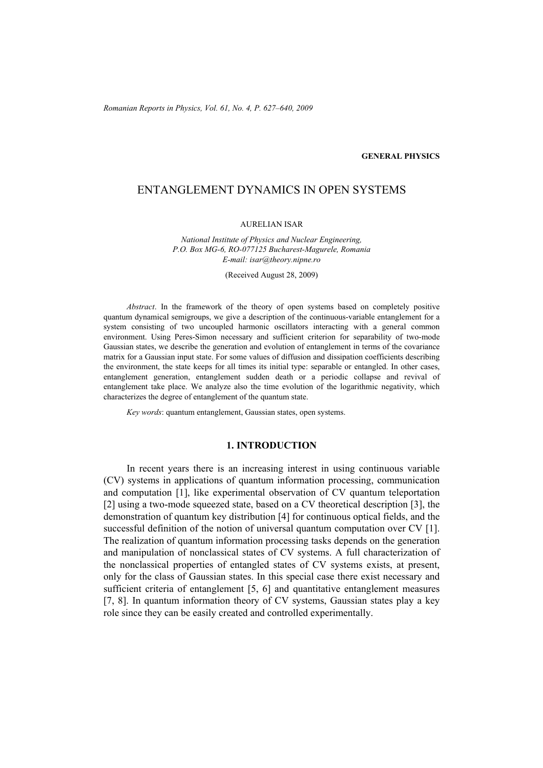*Romanian Reports in Physics, Vol. 61, No. 4, P. 627–640, 2009*

## **GENERAL PHYSICS**

# ENTANGLEMENT DYNAMICS IN OPEN SYSTEMS

#### AURELIAN ISAR

*National Institute of Physics and Nuclear Engineering, P.O. Box MG-6, RO-077125 Bucharest-Magurele, Romania E-mail: isar@theory.nipne.ro* 

(Received August 28, 2009)

*Abstract*. In the framework of the theory of open systems based on completely positive quantum dynamical semigroups, we give a description of the continuous-variable entanglement for a system consisting of two uncoupled harmonic oscillators interacting with a general common environment. Using Peres-Simon necessary and sufficient criterion for separability of two-mode Gaussian states, we describe the generation and evolution of entanglement in terms of the covariance matrix for a Gaussian input state. For some values of diffusion and dissipation coefficients describing the environment, the state keeps for all times its initial type: separable or entangled. In other cases, entanglement generation, entanglement sudden death or a periodic collapse and revival of entanglement take place. We analyze also the time evolution of the logarithmic negativity, which characterizes the degree of entanglement of the quantum state.

*Key words*: quantum entanglement, Gaussian states, open systems.

### **1. INTRODUCTION**

In recent years there is an increasing interest in using continuous variable (CV) systems in applications of quantum information processing, communication and computation [1], like experimental observation of CV quantum teleportation [2] using a two-mode squeezed state, based on a CV theoretical description [3], the demonstration of quantum key distribution [4] for continuous optical fields, and the successful definition of the notion of universal quantum computation over CV [1]. The realization of quantum information processing tasks depends on the generation and manipulation of nonclassical states of CV systems. A full characterization of the nonclassical properties of entangled states of CV systems exists, at present, only for the class of Gaussian states. In this special case there exist necessary and sufficient criteria of entanglement [5, 6] and quantitative entanglement measures [7, 8]. In quantum information theory of CV systems, Gaussian states play a key role since they can be easily created and controlled experimentally.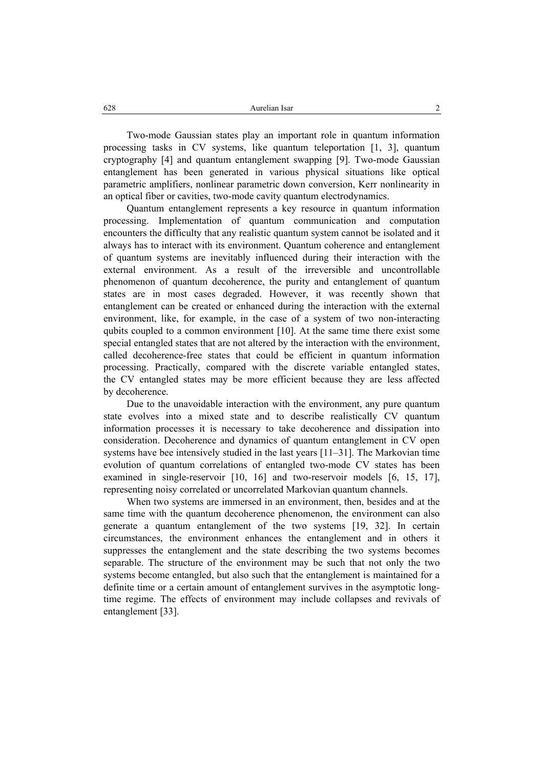Two-mode Gaussian states play an important role in quantum information processing tasks in CV systems, like quantum teleportation [1, 3], quantum cryptography [4] and quantum entanglement swapping [9]. Two-mode Gaussian entanglement has been generated in various physical situations like optical parametric amplifiers, nonlinear parametric down conversion, Kerr nonlinearity in an optical fiber or cavities, two-mode cavity quantum electrodynamics.

Quantum entanglement represents a key resource in quantum information processing. Implementation of quantum communication and computation encounters the difficulty that any realistic quantum system cannot be isolated and it always has to interact with its environment. Quantum coherence and entanglement of quantum systems are inevitably influenced during their interaction with the external environment. As a result of the irreversible and uncontrollable phenomenon of quantum decoherence, the purity and entanglement of quantum states are in most cases degraded. However, it was recently shown that entanglement can be created or enhanced during the interaction with the external environment, like, for example, in the case of a system of two non-interacting qubits coupled to a common environment [10]. At the same time there exist some special entangled states that are not altered by the interaction with the environment, called decoherence-free states that could be efficient in quantum information processing. Practically, compared with the discrete variable entangled states, the CV entangled states may be more efficient because they are less affected by decoherence.

Due to the unavoidable interaction with the environment, any pure quantum state evolves into a mixed state and to describe realistically CV quantum information processes it is necessary to take decoherence and dissipation into consideration. Decoherence and dynamics of quantum entanglement in CV open systems have bee intensively studied in the last years [11–31]. The Markovian time evolution of quantum correlations of entangled two-mode CV states has been examined in single-reservoir [10, 16] and two-reservoir models [6, 15, 17], representing noisy correlated or uncorrelated Markovian quantum channels.

When two systems are immersed in an environment, then, besides and at the same time with the quantum decoherence phenomenon, the environment can also generate a quantum entanglement of the two systems [19, 32]. In certain circumstances, the environment enhances the entanglement and in others it suppresses the entanglement and the state describing the two systems becomes separable. The structure of the environment may be such that not only the two systems become entangled, but also such that the entanglement is maintained for a definite time or a certain amount of entanglement survives in the asymptotic longtime regime. The effects of environment may include collapses and revivals of entanglement [33].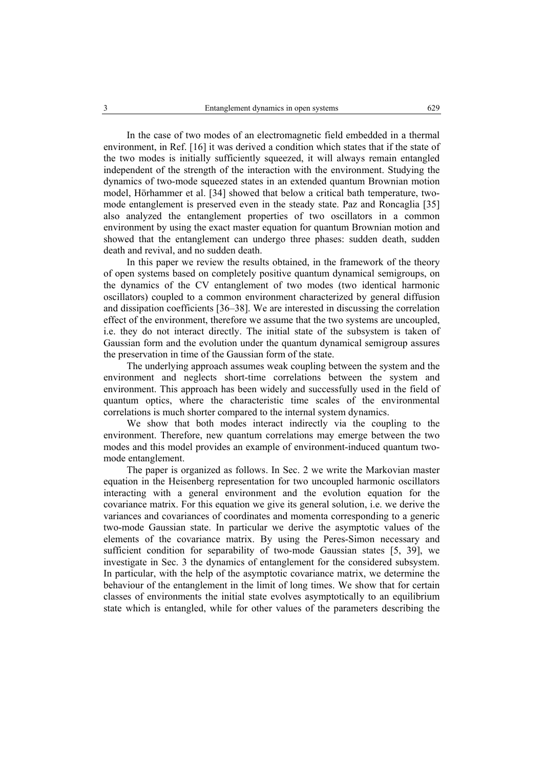In the case of two modes of an electromagnetic field embedded in a thermal environment, in Ref. [16] it was derived a condition which states that if the state of the two modes is initially sufficiently squeezed, it will always remain entangled independent of the strength of the interaction with the environment. Studying the dynamics of two-mode squeezed states in an extended quantum Brownian motion model, Hörhammer et al. [34] showed that below a critical bath temperature, twomode entanglement is preserved even in the steady state. Paz and Roncaglia [35] also analyzed the entanglement properties of two oscillators in a common environment by using the exact master equation for quantum Brownian motion and showed that the entanglement can undergo three phases: sudden death, sudden death and revival, and no sudden death.

In this paper we review the results obtained, in the framework of the theory of open systems based on completely positive quantum dynamical semigroups, on the dynamics of the CV entanglement of two modes (two identical harmonic oscillators) coupled to a common environment characterized by general diffusion and dissipation coefficients [36–38]. We are interested in discussing the correlation effect of the environment, therefore we assume that the two systems are uncoupled, i.e. they do not interact directly. The initial state of the subsystem is taken of Gaussian form and the evolution under the quantum dynamical semigroup assures the preservation in time of the Gaussian form of the state.

The underlying approach assumes weak coupling between the system and the environment and neglects short-time correlations between the system and environment. This approach has been widely and successfully used in the field of quantum optics, where the characteristic time scales of the environmental correlations is much shorter compared to the internal system dynamics.

We show that both modes interact indirectly via the coupling to the environment. Therefore, new quantum correlations may emerge between the two modes and this model provides an example of environment-induced quantum twomode entanglement.

The paper is organized as follows. In Sec. 2 we write the Markovian master equation in the Heisenberg representation for two uncoupled harmonic oscillators interacting with a general environment and the evolution equation for the covariance matrix. For this equation we give its general solution, i.e. we derive the variances and covariances of coordinates and momenta corresponding to a generic two-mode Gaussian state. In particular we derive the asymptotic values of the elements of the covariance matrix. By using the Peres-Simon necessary and sufficient condition for separability of two-mode Gaussian states [5, 39], we investigate in Sec. 3 the dynamics of entanglement for the considered subsystem. In particular, with the help of the asymptotic covariance matrix, we determine the behaviour of the entanglement in the limit of long times. We show that for certain classes of environments the initial state evolves asymptotically to an equilibrium state which is entangled, while for other values of the parameters describing the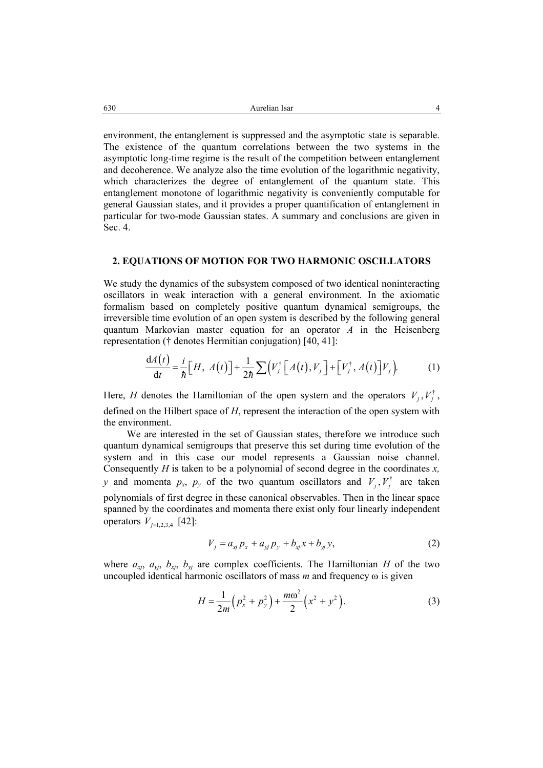environment, the entanglement is suppressed and the asymptotic state is separable. The existence of the quantum correlations between the two systems in the asymptotic long-time regime is the result of the competition between entanglement and decoherence. We analyze also the time evolution of the logarithmic negativity, which characterizes the degree of entanglement of the quantum state. This entanglement monotone of logarithmic negativity is conveniently computable for general Gaussian states, and it provides a proper quantification of entanglement in particular for two-mode Gaussian states. A summary and conclusions are given in Sec. 4.

### **2. EQUATIONS OF MOTION FOR TWO HARMONIC OSCILLATORS**

We study the dynamics of the subsystem composed of two identical noninteracting oscillators in weak interaction with a general environment. In the axiomatic formalism based on completely positive quantum dynamical semigroups, the irreversible time evolution of an open system is described by the following general quantum Markovian master equation for an operator *A* in the Heisenberg representation († denotes Hermitian conjugation) [40, 41]:

$$
\frac{dA(t)}{dt} = \frac{i}{\hbar} \Big[ H, A(t) \Big] + \frac{1}{2\hbar} \sum \Big( V_j^{\dagger} \Big[ A(t), V_j \Big] + \Big[ V_j^{\dagger}, A(t) \Big] V_j \Big).
$$
 (1)

Here, *H* denotes the Hamiltonian of the open system and the operators  $V_i, V_j^{\dagger}$ , defined on the Hilbert space of *H*, represent the interaction of the open system with the environment.

We are interested in the set of Gaussian states, therefore we introduce such quantum dynamical semigroups that preserve this set during time evolution of the system and in this case our model represents a Gaussian noise channel. Consequently *H* is taken to be a polynomial of second degree in the coordinates *x, y* and momenta  $p_x$ ,  $p_y$  of the two quantum oscillators and  $V_i$ ,  $V_i^{\dagger}$  are taken polynomials of first degree in these canonical observables. Then in the linear space spanned by the coordinates and momenta there exist only four linearly independent operators  $V_{j=1,2,3,4}$  [42]:

$$
V_j = a_{xj} p_x + a_{yj} p_y + b_{xj} x + b_{yj} y, \qquad (2)
$$

where  $a_{xy}$ ,  $a_{yy}$ ,  $b_{xy}$ ,  $b_{yy}$  are complex coefficients. The Hamiltonian *H* of the two uncoupled identical harmonic oscillators of mass *m* and frequency ω is given

$$
H = \frac{1}{2m} \left( p_x^2 + p_y^2 \right) + \frac{m\omega^2}{2} \left( x^2 + y^2 \right).
$$
 (3)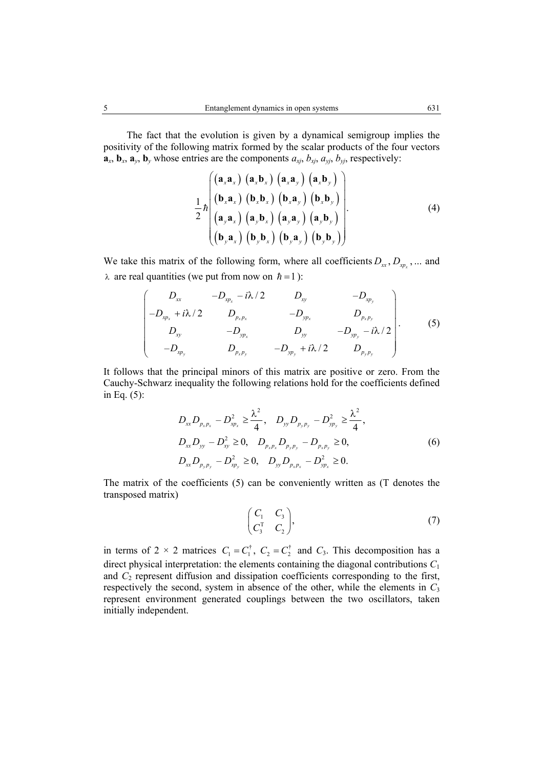The fact that the evolution is given by a dynamical semigroup implies the positivity of the following matrix formed by the scalar products of the four vectors  $\mathbf{a}_x$ ,  $\mathbf{b}_x$ ,  $\mathbf{a}_y$ ,  $\mathbf{b}_y$  whose entries are the components  $a_{xi}$ ,  $b_{xi}$ ,  $a_{yi}$ ,  $b_{yi}$ , respectively:

$$
\frac{1}{2} \hbar \begin{pmatrix}\n(\mathbf{a}_x \mathbf{a}_x) (\mathbf{a}_x \mathbf{b}_x) (\mathbf{a}_x \mathbf{a}_y) (\mathbf{a}_x \mathbf{b}_y) \\
(\mathbf{b}_x \mathbf{a}_x) (\mathbf{b}_x \mathbf{b}_x) (\mathbf{b}_x \mathbf{a}_y) (\mathbf{b}_x \mathbf{b}_y) \\
(\mathbf{a}_y \mathbf{a}_x) (\mathbf{a}_y \mathbf{b}_x) (\mathbf{a}_y \mathbf{a}_y) (\mathbf{a}_y \mathbf{b}_y) \\
(\mathbf{b}_y \mathbf{a}_x) (\mathbf{b}_y \mathbf{b}_x) (\mathbf{b}_y \mathbf{a}_y) (\mathbf{b}_y \mathbf{b}_y)\n\end{pmatrix} (4)
$$

We take this matrix of the following form, where all coefficients  $D_x$ ,  $D_{x_p}$ , ... and  $\lambda$  are real quantities (we put from now on  $\hbar = 1$ ):

$$
\begin{pmatrix}\nD_{xx} & -D_{xy_x} - i\lambda/2 & D_{xy} & -D_{xy_y} \\
-D_{xy_x} + i\lambda/2 & D_{y_x} & -D_{yy_x} & D_{y_x} \\
D_{xy} & -D_{yy_x} & D_{yy} & -D_{yy_y} - i\lambda/2 \\
-D_{xy_y} & D_{y_x} - D_{yy_y} + i\lambda/2 & D_{y_y} \\
D_{xy} & -D_{y_x} + i\lambda/2 & D_{y_y} \\
D_{xy} & -D_{y_y} + i\lambda/2 & D_{y_y} \\
\end{pmatrix}.
$$
\n(5)

It follows that the principal minors of this matrix are positive or zero. From the Cauchy-Schwarz inequality the following relations hold for the coefficients defined in Eq. (5):

$$
D_{xx}D_{p_xp_x} - D_{xp_x}^2 \ge \frac{\lambda^2}{4}, \quad D_{yy}D_{p_yp_y} - D_{yp_y}^2 \ge \frac{\lambda^2}{4},
$$
  
\n
$$
D_{xx}D_{yy} - D_{xy}^2 \ge 0, \quad D_{p_xp_x}D_{p_yp_y} - D_{p_xp_y} \ge 0,
$$
  
\n
$$
D_{xx}D_{p_yp_y} - D_{xp_y}^2 \ge 0, \quad D_{yy}D_{p_xp_x} - D_{yp_x}^2 \ge 0.
$$
\n
$$
(6)
$$

The matrix of the coefficients (5) can be conveniently written as (T denotes the transposed matrix)

$$
\begin{pmatrix} C_1 & C_3 \\ C_3^T & C_2 \end{pmatrix},\tag{7}
$$

in terms of  $2 \times 2$  matrices  $C_1 = C_1^{\dagger}$ ,  $C_2 = C_2^{\dagger}$  and  $C_3$ . This decomposition has a direct physical interpretation: the elements containing the diagonal contributions *C*<sup>1</sup> and *C*2 represent diffusion and dissipation coefficients corresponding to the first, respectively the second, system in absence of the other, while the elements in  $C_3$ represent environment generated couplings between the two oscillators, taken initially independent.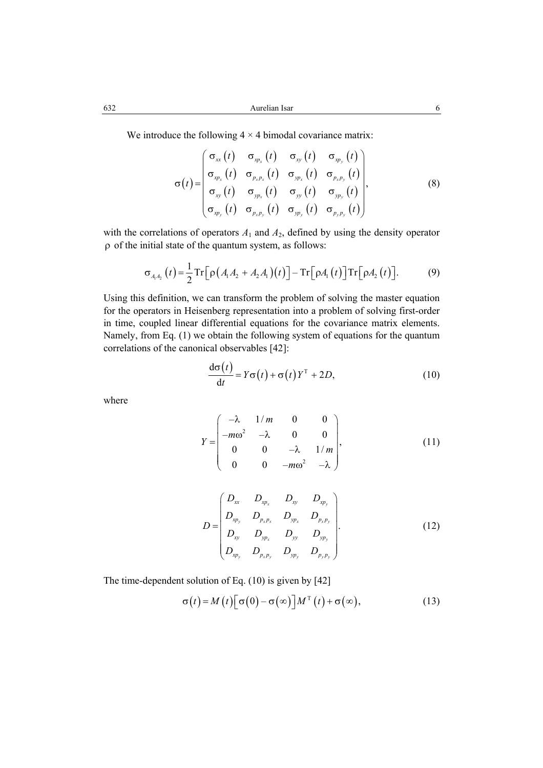We introduce the following  $4 \times 4$  bimodal covariance matrix:

$$
\sigma(t) = \begin{pmatrix}\n\sigma_{xx}(t) & \sigma_{xy_x}(t) & \sigma_{xy}(t) & \sigma_{xy_y}(t) \\
\sigma_{xy_x}(t) & \sigma_{y_x y_x}(t) & \sigma_{yy_x}(t) & \sigma_{y_x y_y}(t) \\
\sigma_{xy}(t) & \sigma_{yy_x}(t) & \sigma_{yy}(t) & \sigma_{yy_y}(t) \\
\sigma_{xy_y}(t) & \sigma_{y_x y_y}(t) & \sigma_{yy_y}(t) & \sigma_{y_y y_y}(t)\n\end{pmatrix},
$$
\n(8)

with the correlations of operators  $A_1$  and  $A_2$ , defined by using the density operator ρ of the initial state of the quantum system, as follows:

$$
\sigma_{A_1 A_2}(t) = \frac{1}{2} \operatorname{Tr} \left[ \rho \left( A_1 A_2 + A_2 A_1 \right) (t) \right] - \operatorname{Tr} \left[ \rho A_1(t) \right] \operatorname{Tr} \left[ \rho A_2(t) \right]. \tag{9}
$$

Using this definition, we can transform the problem of solving the master equation for the operators in Heisenberg representation into a problem of solving first-order in time, coupled linear differential equations for the covariance matrix elements. Namely, from Eq. (1) we obtain the following system of equations for the quantum correlations of the canonical observables [42]:

$$
\frac{d\sigma(t)}{dt} = Y\sigma(t) + \sigma(t)Y^{T} + 2D,
$$
\n(10)

where

$$
Y = \begin{pmatrix} -\lambda & 1/m & 0 & 0 \\ -m\omega^2 & -\lambda & 0 & 0 \\ 0 & 0 & -\lambda & 1/m \\ 0 & 0 & -m\omega^2 & -\lambda \end{pmatrix},
$$
(11)

$$
D = \begin{pmatrix} D_{xx} & D_{xp_x} & D_{xy} & D_{xp_y} \\ D_{xp_y} & D_{p_x p_x} & D_{yp_x} & D_{p_x p_y} \\ D_{xy} & D_{yp_x} & D_{yy} & D_{yp_y} \\ D_{xp_y} & D_{p_x p_y} & D_{yp_y} & D_{p_y p_y} \end{pmatrix} .
$$
 (12)

The time-dependent solution of Eq. (10) is given by [42]

$$
\sigma(t) = M(t) \left[ \sigma(0) - \sigma(\infty) \right] M^{T}(t) + \sigma(\infty), \tag{13}
$$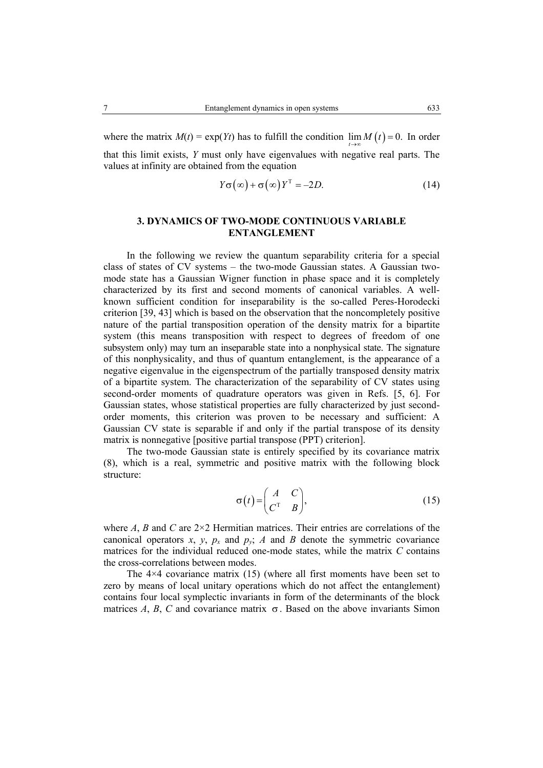where the matrix  $M(t) = \exp(Yt)$  has to fulfill the condition  $\lim M(t) = 0$ . In order

that this limit exists, *Y* must only have eigenvalues with negative real parts. The values at infinity are obtained from the equation

$$
Y\sigma(\infty) + \sigma(\infty)Y^{T} = -2D.
$$
 (14)

# **3. DYNAMICS OF TWO-MODE CONTINUOUS VARIABLE ENTANGLEMENT**

In the following we review the quantum separability criteria for a special class of states of CV systems – the two-mode Gaussian states. A Gaussian twomode state has a Gaussian Wigner function in phase space and it is completely characterized by its first and second moments of canonical variables. A wellknown sufficient condition for inseparability is the so-called Peres-Horodecki criterion [39, 43] which is based on the observation that the noncompletely positive nature of the partial transposition operation of the density matrix for a bipartite system (this means transposition with respect to degrees of freedom of one subsystem only) may turn an inseparable state into a nonphysical state. The signature of this nonphysicality, and thus of quantum entanglement, is the appearance of a negative eigenvalue in the eigenspectrum of the partially transposed density matrix of a bipartite system. The characterization of the separability of CV states using second-order moments of quadrature operators was given in Refs. [5, 6]. For Gaussian states, whose statistical properties are fully characterized by just secondorder moments, this criterion was proven to be necessary and sufficient: A Gaussian CV state is separable if and only if the partial transpose of its density matrix is nonnegative [positive partial transpose (PPT) criterion].

The two-mode Gaussian state is entirely specified by its covariance matrix (8), which is a real, symmetric and positive matrix with the following block structure:

$$
\sigma(t) = \begin{pmatrix} A & C \\ C^T & B \end{pmatrix},\tag{15}
$$

where *A*, *B* and *C* are 2×2 Hermitian matrices. Their entries are correlations of the canonical operators  $x$ ,  $y$ ,  $p_x$  and  $p_y$ ; *A* and *B* denote the symmetric covariance matrices for the individual reduced one-mode states, while the matrix *C* contains the cross-correlations between modes.

The  $4\times4$  covariance matrix (15) (where all first moments have been set to zero by means of local unitary operations which do not affect the entanglement) contains four local symplectic invariants in form of the determinants of the block matrices *A*, *B*, *C* and covariance matrix  $\sigma$ . Based on the above invariants Simon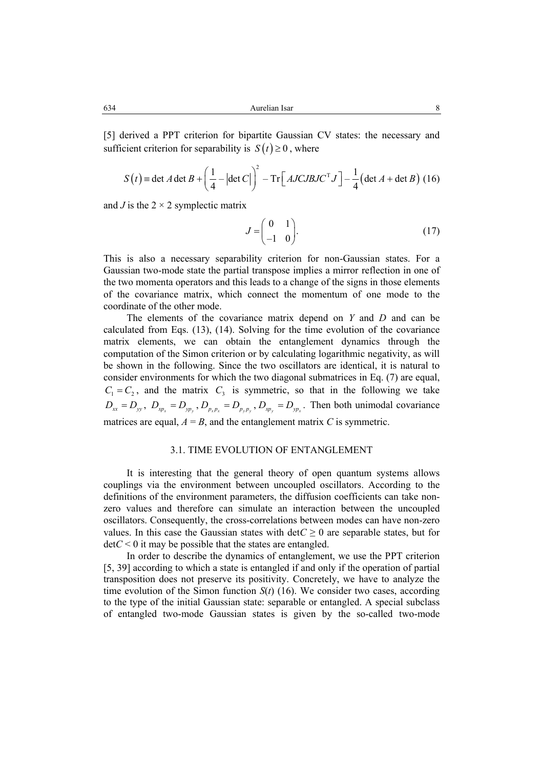[5] derived a PPT criterion for bipartite Gaussian CV states: the necessary and sufficient criterion for separability is  $S(t) \ge 0$ , where

$$
S(t) = \det A \det B + \left(\frac{1}{4} - \left|\det C\right|\right)^2 - \text{Tr}\left[AJCJBJC^{\mathrm{T}}J\right] - \frac{1}{4}\left(\det A + \det B\right) (16)
$$

and *J* is the  $2 \times 2$  symplectic matrix

$$
J = \begin{pmatrix} 0 & 1 \\ -1 & 0 \end{pmatrix}.
$$
 (17)

This is also a necessary separability criterion for non-Gaussian states. For a Gaussian two-mode state the partial transpose implies a mirror reflection in one of the two momenta operators and this leads to a change of the signs in those elements of the covariance matrix, which connect the momentum of one mode to the coordinate of the other mode.

The elements of the covariance matrix depend on *Y* and *D* and can be calculated from Eqs. (13), (14). Solving for the time evolution of the covariance matrix elements, we can obtain the entanglement dynamics through the computation of the Simon criterion or by calculating logarithmic negativity, as will be shown in the following. Since the two oscillators are identical, it is natural to consider environments for which the two diagonal submatrices in Eq. (7) are equal,  $C_1 = C_2$ , and the matrix  $C_3$  is symmetric, so that in the following we take  $D_{xx} = D_{yy}$ ,  $D_{xp_x} = D_{yp_y}$ ,  $D_{p_xp_x} = D_{p_yp_y}$ ,  $D_{xp_y} = D_{yp_x}$ . Then both unimodal covariance matrices are equal,  $A = B$ , and the entanglement matrix *C* is symmetric.

# 3.1. TIME EVOLUTION OF ENTANGLEMENT

It is interesting that the general theory of open quantum systems allows couplings via the environment between uncoupled oscillators. According to the definitions of the environment parameters, the diffusion coefficients can take nonzero values and therefore can simulate an interaction between the uncoupled oscillators. Consequently, the cross-correlations between modes can have non-zero values. In this case the Gaussian states with  $\det C \geq 0$  are separable states, but for  $detC < 0$  it may be possible that the states are entangled.

In order to describe the dynamics of entanglement, we use the PPT criterion [5, 39] according to which a state is entangled if and only if the operation of partial transposition does not preserve its positivity. Concretely, we have to analyze the time evolution of the Simon function  $S(t)$  (16). We consider two cases, according to the type of the initial Gaussian state: separable or entangled. A special subclass of entangled two-mode Gaussian states is given by the so-called two-mode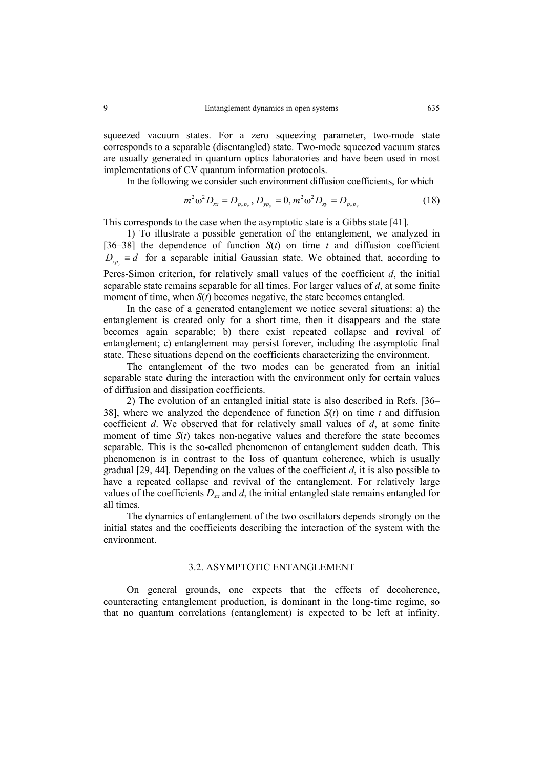squeezed vacuum states. For a zero squeezing parameter, two-mode state corresponds to a separable (disentangled) state. Two-mode squeezed vacuum states are usually generated in quantum optics laboratories and have been used in most implementations of CV quantum information protocols.

In the following we consider such environment diffusion coefficients, for which

$$
m^2 \omega^2 D_{xx} = D_{p_x p_x}, D_{yp_y} = 0, m^2 \omega^2 D_{xy} = D_{p_x p_y}
$$
 (18)

This corresponds to the case when the asymptotic state is a Gibbs state [41].

1) To illustrate a possible generation of the entanglement, we analyzed in [36–38] the dependence of function  $S(t)$  on time  $t$  and diffusion coefficient  $D_{\nu}$  = *d* for a separable initial Gaussian state. We obtained that, according to Peres-Simon criterion, for relatively small values of the coefficient *d*, the initial separable state remains separable for all times. For larger values of *d*, at some finite moment of time, when *S*(*t*) becomes negative, the state becomes entangled.

In the case of a generated entanglement we notice several situations: a) the entanglement is created only for a short time, then it disappears and the state becomes again separable; b) there exist repeated collapse and revival of entanglement; c) entanglement may persist forever, including the asymptotic final state. These situations depend on the coefficients characterizing the environment.

The entanglement of the two modes can be generated from an initial separable state during the interaction with the environment only for certain values of diffusion and dissipation coefficients.

2) The evolution of an entangled initial state is also described in Refs. [36– 38], where we analyzed the dependence of function *S*(*t*) on time *t* and diffusion coefficient *d*. We observed that for relatively small values of *d*, at some finite moment of time  $S(t)$  takes non-negative values and therefore the state becomes separable. This is the so-called phenomenon of entanglement sudden death. This phenomenon is in contrast to the loss of quantum coherence, which is usually gradual [29, 44]. Depending on the values of the coefficient *d*, it is also possible to have a repeated collapse and revival of the entanglement. For relatively large values of the coefficients  $D_{xx}$  and  $d$ , the initial entangled state remains entangled for all times.

The dynamics of entanglement of the two oscillators depends strongly on the initial states and the coefficients describing the interaction of the system with the environment.

# 3.2. ASYMPTOTIC ENTANGLEMENT

On general grounds, one expects that the effects of decoherence, counteracting entanglement production, is dominant in the long-time regime, so that no quantum correlations (entanglement) is expected to be left at infinity.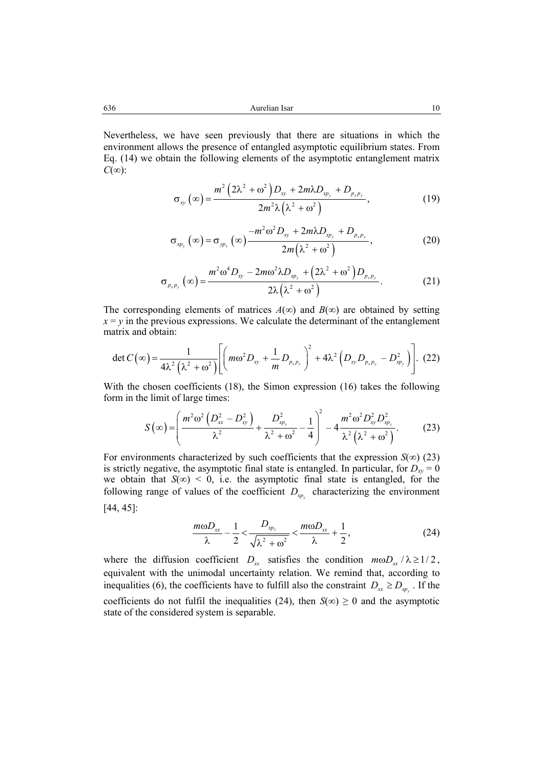Nevertheless, we have seen previously that there are situations in which the environment allows the presence of entangled asymptotic equilibrium states. From Eq. (14) we obtain the following elements of the asymptotic entanglement matrix *C*(∞):

$$
\sigma_{xy}(\infty) = \frac{m^2 \left(2\lambda^2 + \omega^2\right) D_{xy} + 2m\lambda D_{xy_y} + D_{p_x p_y}}{2m^2 \lambda \left(\lambda^2 + \omega^2\right)},
$$
\n(19)

$$
\sigma_{\scriptscriptstyle \chi p_{\scriptscriptstyle y}}\left(\infty\right) = \sigma_{\scriptscriptstyle \chi p_{\scriptscriptstyle x}}\left(\infty\right) \frac{-m^2 \omega^2 D_{\scriptscriptstyle \chi y} + 2m\lambda D_{\scriptscriptstyle \chi p_{\scriptscriptstyle y}} + D_{\scriptscriptstyle p_{\scriptscriptstyle x} p_{\scriptscriptstyle y}}}{2m\left(\lambda^2 + \omega^2\right)},\tag{20}
$$

$$
\sigma_{p_x p_y}(\infty) = \frac{m^2 \omega^4 D_{xy} - 2m \omega^2 \lambda D_{xy} + (2\lambda^2 + \omega^2) D_{p_x p_y}}{2\lambda (\lambda^2 + \omega^2)}.
$$
 (21)

The corresponding elements of matrices  $A(\infty)$  and  $B(\infty)$  are obtained by setting  $x = y$  in the previous expressions. We calculate the determinant of the entanglement matrix and obtain:

$$
\det C(\infty) = \frac{1}{4\lambda^2 \left(\lambda^2 + \omega^2\right)} \left[ \left( m\omega^2 D_{xy} + \frac{1}{m} D_{p_x p_y} \right)^2 + 4\lambda^2 \left( D_{xy} D_{p_x p_y} - D_{xy}^2 \right) \right].
$$
 (22)

With the chosen coefficients (18), the Simon expression (16) takes the following form in the limit of large times:

$$
S(\infty) = \left(\frac{m^2\omega^2\left(D_{xx}^2 - D_{xy}^2\right)}{\lambda^2} + \frac{D_{xy}^2}{\lambda^2 + \omega^2} - \frac{1}{4}\right)^2 - 4\frac{m^2\omega^2 D_{xy}^2 D_{xy}^2}{\lambda^2 \left(\lambda^2 + \omega^2\right)}.
$$
 (23)

For environments characterized by such coefficients that the expression  $S(\infty)$  (23) is strictly negative, the asymptotic final state is entangled. In particular, for  $D_{xy} = 0$ we obtain that  $S(\infty) < 0$ , i.e. the asymptotic final state is entangled, for the following range of values of the coefficient  $D_{\text{xp}}$  characterizing the environment [44, 45]:

$$
\frac{m\omega D_{xx}}{\lambda} - \frac{1}{2} < \frac{D_{xy}}{\sqrt{\lambda^2 + \omega^2}} < \frac{m\omega D_{xx}}{\lambda} + \frac{1}{2},\tag{24}
$$

where the diffusion coefficient  $D_{xx}$  satisfies the condition  $m\omega D_{xx}/\lambda \geq 1/2$ , equivalent with the unimodal uncertainty relation. We remind that, according to inequalities (6), the coefficients have to fulfill also the constraint  $D_{xx} \ge D_{yy}$ . If the coefficients do not fulfil the inequalities (24), then  $S(\infty) \ge 0$  and the asymptotic state of the considered system is separable.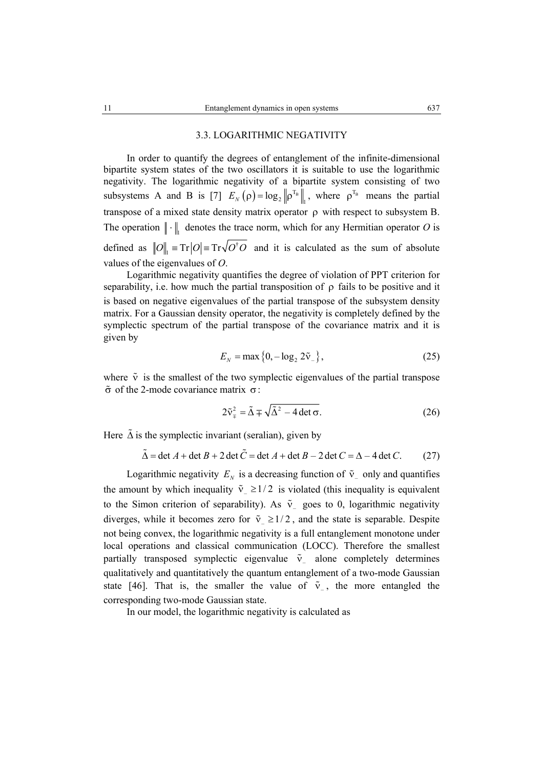### 3.3. LOGARITHMIC NEGATIVITY

In order to quantify the degrees of entanglement of the infinite-dimensional bipartite system states of the two oscillators it is suitable to use the logarithmic negativity. The logarithmic negativity of a bipartite system consisting of two subsystems A and B is [7]  $E_N(\rho) = \log_2 \|\rho^{T_B}\|_1$ , where  $\rho^{T_B}$  means the partial transpose of a mixed state density matrix operator  $\rho$  with respect to subsystem B. The operation  $\|\cdot\|$  denotes the trace norm, which for any Hermitian operator *O* is defined as  $||O||_1 = Tr|O| = Tr\sqrt{O^{\dagger}O}$  and it is calculated as the sum of absolute values of the eigenvalues of *O*.

Logarithmic negativity quantifies the degree of violation of PPT criterion for separability, i.e. how much the partial transposition of  $\rho$  fails to be positive and it is based on negative eigenvalues of the partial transpose of the subsystem density matrix. For a Gaussian density operator, the negativity is completely defined by the symplectic spectrum of the partial transpose of the covariance matrix and it is given by

$$
E_N = \max\{0, -\log_2 2\tilde{v}_-\},\tag{25}
$$

where  $\tilde{v}$  is the smallest of the two symplectic eigenvalues of the partial transpose σ of the 2-mode covariance matrix σ:

$$
2\tilde{v}_{\tau}^{2} = \tilde{\Delta} \mp \sqrt{\tilde{\Delta}^{2} - 4 \det \sigma}.
$$
 (26)

Here  $\tilde{\Delta}$  is the symplectic invariant (seralian), given by

$$
\tilde{\Delta} = \det A + \det B + 2 \det \tilde{C} = \det A + \det B - 2 \det C = \Delta - 4 \det C.
$$
 (27)

Logarithmic negativity  $E_N$  is a decreasing function of  $\tilde{v}_1$  only and quantifies the amount by which inequality  $\tilde{v}_2 \ge 1/2$  is violated (this inequality is equivalent to the Simon criterion of separability). As  $\tilde{v}$  goes to 0, logarithmic negativity diverges, while it becomes zero for  $\tilde{v} \ge 1/2$ , and the state is separable. Despite not being convex, the logarithmic negativity is a full entanglement monotone under local operations and classical communication (LOCC). Therefore the smallest partially transposed symplectic eigenvalue  $\tilde{v}_-$  alone completely determines qualitatively and quantitatively the quantum entanglement of a two-mode Gaussian state [46]. That is, the smaller the value of  $\tilde{v}$ , the more entangled the corresponding two-mode Gaussian state.

In our model, the logarithmic negativity is calculated as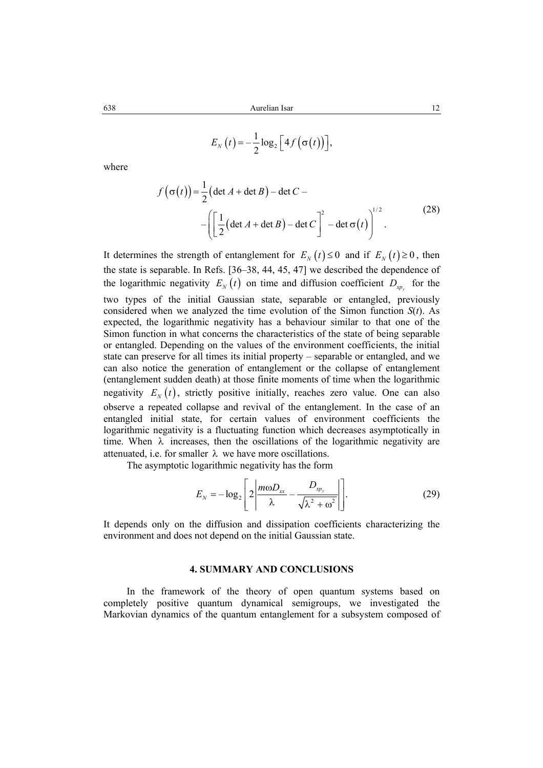$$
E_N(t) = -\frac{1}{2}\log_2\left[4f(\sigma(t))\right],
$$

where

$$
f(\sigma(t)) = \frac{1}{2} (\det A + \det B) - \det C -
$$
  
 
$$
- \left( \left[ \frac{1}{2} (\det A + \det B) - \det C \right]^{2} - \det \sigma(t) \right)^{1/2}.
$$
 (28)

It determines the strength of entanglement for  $E_y(t) \le 0$  and if  $E_y(t) \ge 0$ , then the state is separable. In Refs. [36–38, 44, 45, 47] we described the dependence of the logarithmic negativity  $E_N(t)$  on time and diffusion coefficient  $D_{X_p}$  for the two types of the initial Gaussian state, separable or entangled, previously considered when we analyzed the time evolution of the Simon function *S*(*t*). As expected, the logarithmic negativity has a behaviour similar to that one of the Simon function in what concerns the characteristics of the state of being separable or entangled. Depending on the values of the environment coefficients, the initial state can preserve for all times its initial property – separable or entangled, and we can also notice the generation of entanglement or the collapse of entanglement (entanglement sudden death) at those finite moments of time when the logarithmic negativity  $E_N(t)$ , strictly positive initially, reaches zero value. One can also observe a repeated collapse and revival of the entanglement. In the case of an entangled initial state, for certain values of environment coefficients the logarithmic negativity is a fluctuating function which decreases asymptotically in time. When  $\lambda$  increases, then the oscillations of the logarithmic negativity are attenuated, i.e. for smaller  $\lambda$  we have more oscillations.

The asymptotic logarithmic negativity has the form

$$
E_N = -\log_2\left[2\left|\frac{m\omega D_{xx}}{\lambda} - \frac{D_{xy}}{\sqrt{\lambda^2 + \omega^2}}\right|\right].
$$
 (29)

It depends only on the diffusion and dissipation coefficients characterizing the environment and does not depend on the initial Gaussian state.

#### **4. SUMMARY AND CONCLUSIONS**

In the framework of the theory of open quantum systems based on completely positive quantum dynamical semigroups, we investigated the Markovian dynamics of the quantum entanglement for a subsystem composed of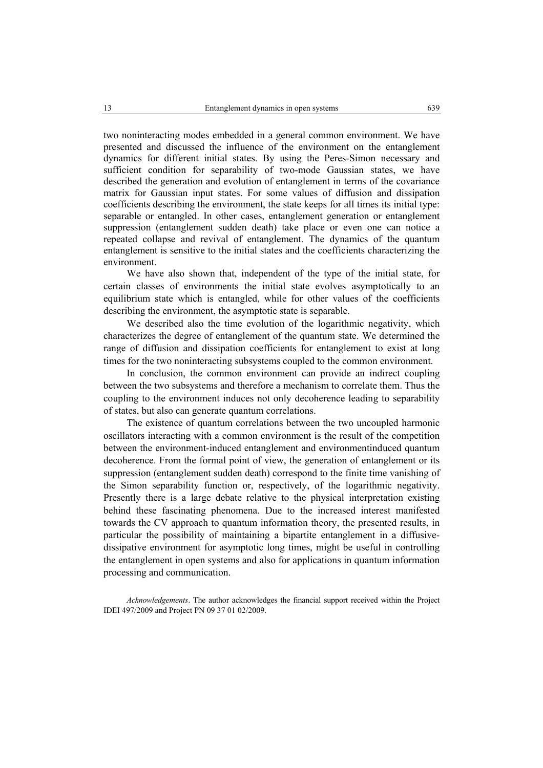two noninteracting modes embedded in a general common environment. We have presented and discussed the influence of the environment on the entanglement dynamics for different initial states. By using the Peres-Simon necessary and sufficient condition for separability of two-mode Gaussian states, we have described the generation and evolution of entanglement in terms of the covariance matrix for Gaussian input states. For some values of diffusion and dissipation coefficients describing the environment, the state keeps for all times its initial type: separable or entangled. In other cases, entanglement generation or entanglement suppression (entanglement sudden death) take place or even one can notice a repeated collapse and revival of entanglement. The dynamics of the quantum entanglement is sensitive to the initial states and the coefficients characterizing the environment.

We have also shown that, independent of the type of the initial state, for certain classes of environments the initial state evolves asymptotically to an equilibrium state which is entangled, while for other values of the coefficients describing the environment, the asymptotic state is separable.

We described also the time evolution of the logarithmic negativity, which characterizes the degree of entanglement of the quantum state. We determined the range of diffusion and dissipation coefficients for entanglement to exist at long times for the two noninteracting subsystems coupled to the common environment.

In conclusion, the common environment can provide an indirect coupling between the two subsystems and therefore a mechanism to correlate them. Thus the coupling to the environment induces not only decoherence leading to separability of states, but also can generate quantum correlations.

The existence of quantum correlations between the two uncoupled harmonic oscillators interacting with a common environment is the result of the competition between the environment-induced entanglement and environmentinduced quantum decoherence. From the formal point of view, the generation of entanglement or its suppression (entanglement sudden death) correspond to the finite time vanishing of the Simon separability function or, respectively, of the logarithmic negativity. Presently there is a large debate relative to the physical interpretation existing behind these fascinating phenomena. Due to the increased interest manifested towards the CV approach to quantum information theory, the presented results, in particular the possibility of maintaining a bipartite entanglement in a diffusivedissipative environment for asymptotic long times, might be useful in controlling the entanglement in open systems and also for applications in quantum information processing and communication.

*Acknowledgements*. The author acknowledges the financial support received within the Project IDEI 497/2009 and Project PN 09 37 01 02/2009.